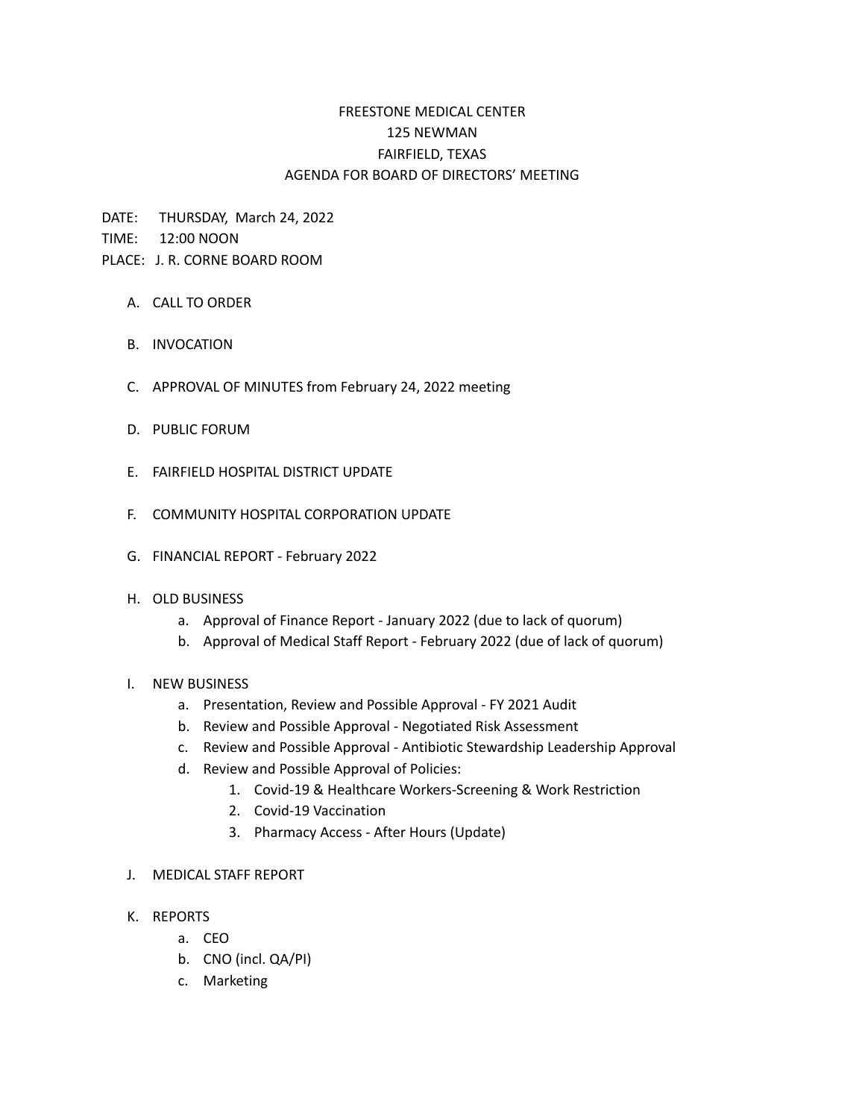# FREESTONE MEDICAL CENTER 125 NEWMAN FAIRFIELD, TEXAS AGENDA FOR BOARD OF DIRECTORS' MEETING

DATE: THURSDAY, March 24, 2022

TIME: 12:00 NOON

## PLACE: J. R. CORNE BOARD ROOM

- A. CALL TO ORDER
- B. INVOCATION
- C. APPROVAL OF MINUTES from February 24, 2022 meeting
- D. PUBLIC FORUM
- E. FAIRFIELD HOSPITAL DISTRICT UPDATE
- F. COMMUNITY HOSPITAL CORPORATION UPDATE
- G. FINANCIAL REPORT February 2022

### H. OLD BUSINESS

- a. Approval of Finance Report January 2022 (due to lack of quorum)
- b. Approval of Medical Staff Report February 2022 (due of lack of quorum)

### I. NEW BUSINESS

- a. Presentation, Review and Possible Approval FY 2021 Audit
- b. Review and Possible Approval Negotiated Risk Assessment
- c. Review and Possible Approval Antibiotic Stewardship Leadership Approval
- d. Review and Possible Approval of Policies:
	- 1. Covid-19 & Healthcare Workers-Screening & Work Restriction
	- 2. Covid-19 Vaccination
	- 3. Pharmacy Access After Hours (Update)

### J. MEDICAL STAFF REPORT

- K. REPORTS
	- a. CEO
	- b. CNO (incl. QA/PI)
	- c. Marketing